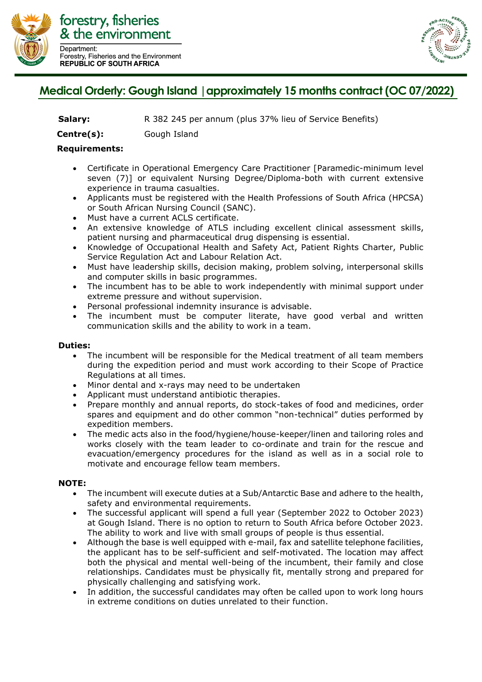

Forestry, Fisheries and the Environment **REPUBLIC OF SOUTH AFRICA** 



## **Medical Orderly: Gough Island | approximately 15 months contract (OC 07/2022)**

**Salary:** R 382 245 per annum (plus 37% lieu of Service Benefits)

**Centre(s):** Gough Island

## **Requirements:**

- Certificate in Operational Emergency Care Practitioner [Paramedic-minimum level seven (7)] or equivalent Nursing Degree/Diploma-both with current extensive experience in trauma casualties.
- Applicants must be registered with the Health Professions of South Africa (HPCSA) or South African Nursing Council (SANC).
- Must have a current ACLS certificate.
- An extensive knowledge of ATLS including excellent clinical assessment skills, patient nursing and pharmaceutical drug dispensing is essential.
- Knowledge of Occupational Health and Safety Act, Patient Rights Charter, Public Service Regulation Act and Labour Relation Act.
- Must have leadership skills, decision making, problem solving, interpersonal skills and computer skills in basic programmes.
- The incumbent has to be able to work independently with minimal support under extreme pressure and without supervision.
- Personal professional indemnity insurance is advisable.
- The incumbent must be computer literate, have good verbal and written communication skills and the ability to work in a team.

## **Duties:**

- The incumbent will be responsible for the Medical treatment of all team members during the expedition period and must work according to their Scope of Practice Regulations at all times.
- Minor dental and x-rays may need to be undertaken
- Applicant must understand antibiotic therapies.
- Prepare monthly and annual reports, do stock-takes of food and medicines, order spares and equipment and do other common "non-technical" duties performed by expedition members.
- The medic acts also in the food/hygiene/house-keeper/linen and tailoring roles and works closely with the team leader to co-ordinate and train for the rescue and evacuation/emergency procedures for the island as well as in a social role to motivate and encourage fellow team members.

## **NOTE:**

- The incumbent will execute duties at a Sub/Antarctic Base and adhere to the health, safety and environmental requirements.
- The successful applicant will spend a full year (September 2022 to October 2023) at Gough Island. There is no option to return to South Africa before October 2023. The ability to work and live with small groups of people is thus essential.
- Although the base is well equipped with e-mail, fax and satellite telephone facilities, the applicant has to be self-sufficient and self-motivated. The location may affect both the physical and mental well-being of the incumbent, their family and close relationships. Candidates must be physically fit, mentally strong and prepared for physically challenging and satisfying work.
- In addition, the successful candidates may often be called upon to work long hours in extreme conditions on duties unrelated to their function.